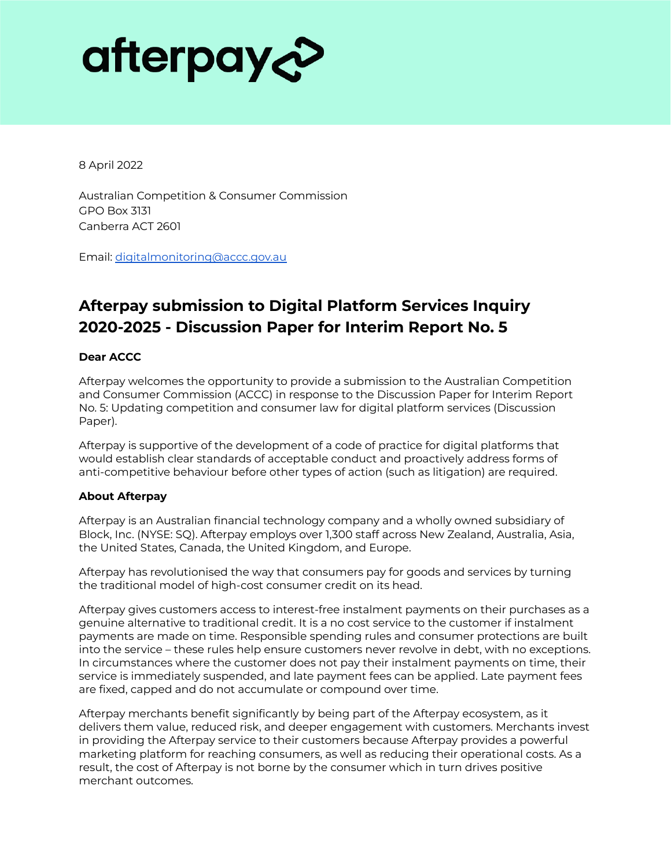# afterpay&

8 April 2022

Australian Competition & Consumer Commission GPO Box 3131 Canberra ACT 2601

Email: digitalmonitoring@accc.gov.au

## **Afterpay submission to Digital Platform Services Inquiry 2020-2025 - Discussion Paper for Interim Report No. 5**

#### **Dear ACCC**

Afterpay welcomes the opportunity to provide a submission to the Australian Competition and Consumer Commission (ACCC) in response to the Discussion Paper for Interim Report No. 5: Updating competition and consumer law for digital platform services (Discussion Paper).

Afterpay is supportive of the development of a code of practice for digital platforms that would establish clear standards of acceptable conduct and proactively address forms of anti-competitive behaviour before other types of action (such as litigation) are required.

#### **About Afterpay**

Afterpay is an Australian financial technology company and a wholly owned subsidiary of Block, Inc. (NYSE: SQ). Afterpay employs over 1,300 staff across New Zealand, Australia, Asia, the United States, Canada, the United Kingdom, and Europe.

Afterpay has revolutionised the way that consumers pay for goods and services by turning the traditional model of high-cost consumer credit on its head.

Afterpay gives customers access to interest-free instalment payments on their purchases as a genuine alternative to traditional credit. It is a no cost service to the customer if instalment payments are made on time. Responsible spending rules and consumer protections are built into the service – these rules help ensure customers never revolve in debt, with no exceptions. In circumstances where the customer does not pay their instalment payments on time, their service is immediately suspended, and late payment fees can be applied. Late payment fees are fixed, capped and do not accumulate or compound over time.

Afterpay merchants benefit significantly by being part of the Afterpay ecosystem, as it delivers them value, reduced risk, and deeper engagement with customers. Merchants invest in providing the Afterpay service to their customers because Afterpay provides a powerful marketing platform for reaching consumers, as well as reducing their operational costs. As a result, the cost of Afterpay is not borne by the consumer which in turn drives positive merchant outcomes.